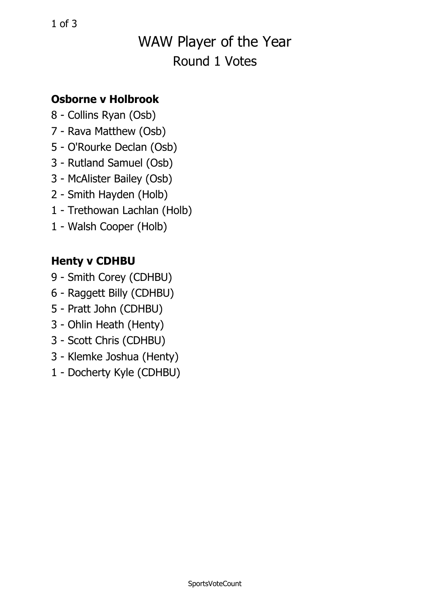# WAW Player of the Year Round 1 Votes

#### **Osborne v Holbrook**

- 8 Collins Ryan (Osb)
- 7 Rava Matthew (Osb)
- 5 O'Rourke Declan (Osb)
- 3 Rutland Samuel (Osb)
- 3 McAlister Bailey (Osb)
- 2 Smith Hayden (Holb)
- 1 Trethowan Lachlan (Holb)
- 1 Walsh Cooper (Holb)

### **Henty <sup>v</sup> CDHBU**

- 9 Smith Corey (CDHBU)
- 6 Raggett Billy (CDHBU)
- 5 Pratt John (CDHBU)
- 3 Ohlin Heath (Henty)
- 3 Scott Chris (CDHBU)
- 3 Klemke Joshua (Henty)
- 1 Docherty Kyle (CDHBU)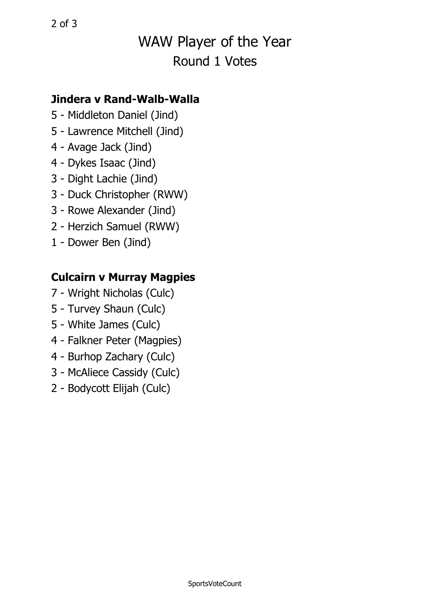# WAW Player of the Year Round 1 Votes

#### **Jindera v Rand-Walb-Walla**

- 5 Middleton Daniel (Jind)
- 5 Lawrence Mitchell (Jind)
- 4 Avage Jack (Jind)
- 4 Dykes Isaac (Jind)
- 3 Dight Lachie (Jind)
- 3 Duck Christopher (RWW)
- 3 Rowe Alexander (Jind)
- 2 Herzich Samuel (RWW)
- 1 Dower Ben (Jind)

### **Culcairn <sup>v</sup> Murray Magpies**

- 7 Wright Nicholas (Culc)
- 5 Turvey Shaun (Culc)
- 5 White James (Culc)
- 4 Falkner Peter (Magpies)
- 4 Burhop Zachary (Culc)
- 3 McAliece Cassidy (Culc)
- 2 Bodycott Elijah (Culc)